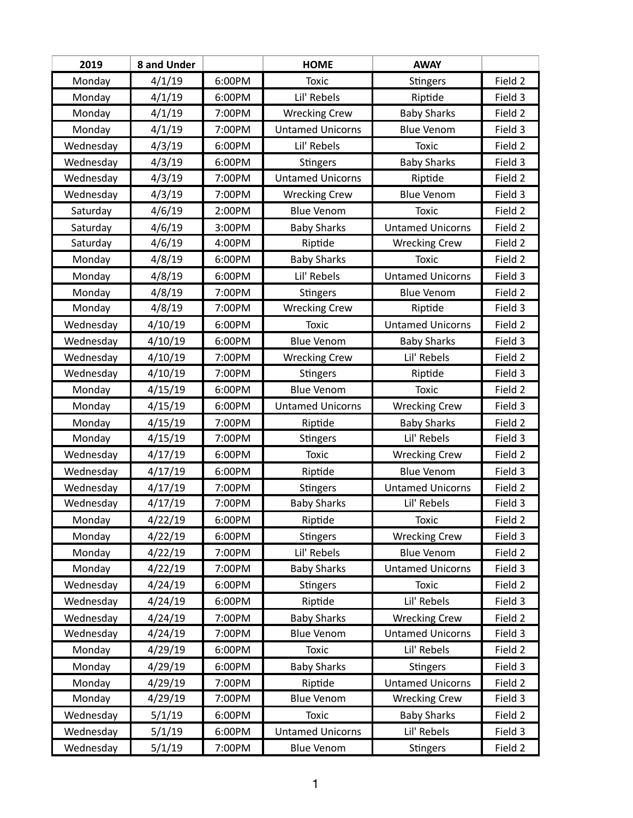| 2019      | 8 and Under |        | <b>HOME</b>             | <b>AWAY</b>             |         |
|-----------|-------------|--------|-------------------------|-------------------------|---------|
| Monday    | 4/1/19      | 6:00PM | <b>Toxic</b>            | <b>Stingers</b>         | Field 2 |
| Monday    | 4/1/19      | 6:00PM | Lil' Rebels             | Riptide                 | Field 3 |
| Monday    | 4/1/19      | 7:00PM | <b>Wrecking Crew</b>    | <b>Baby Sharks</b>      | Field 2 |
| Monday    | 4/1/19      | 7:00PM | <b>Untamed Unicorns</b> | <b>Blue Venom</b>       | Field 3 |
| Wednesday | 4/3/19      | 6:00PM | Lil' Rebels             | <b>Toxic</b>            | Field 2 |
| Wednesday | 4/3/19      | 6:00PM | <b>Stingers</b>         | <b>Baby Sharks</b>      | Field 3 |
| Wednesday | 4/3/19      | 7:00PM | <b>Untamed Unicorns</b> | Riptide                 | Field 2 |
| Wednesday | 4/3/19      | 7:00PM | <b>Wrecking Crew</b>    | <b>Blue Venom</b>       | Field 3 |
| Saturday  | 4/6/19      | 2:00PM | <b>Blue Venom</b>       | Toxic                   | Field 2 |
| Saturday  | 4/6/19      | 3:00PM | <b>Baby Sharks</b>      | <b>Untamed Unicorns</b> | Field 2 |
| Saturday  | 4/6/19      | 4:00PM | Riptide                 | <b>Wrecking Crew</b>    | Field 2 |
| Monday    | 4/8/19      | 6:00PM | <b>Baby Sharks</b>      | <b>Toxic</b>            | Field 2 |
| Monday    | 4/8/19      | 6:00PM | Lil' Rebels             | <b>Untamed Unicorns</b> | Field 3 |
| Monday    | 4/8/19      | 7:00PM | <b>Stingers</b>         | <b>Blue Venom</b>       | Field 2 |
| Monday    | 4/8/19      | 7:00PM | <b>Wrecking Crew</b>    | Riptide                 | Field 3 |
| Wednesday | 4/10/19     | 6:00PM | <b>Toxic</b>            | <b>Untamed Unicorns</b> | Field 2 |
| Wednesday | 4/10/19     | 6:00PM | <b>Blue Venom</b>       | <b>Baby Sharks</b>      | Field 3 |
| Wednesday | 4/10/19     | 7:00PM | <b>Wrecking Crew</b>    | Lil' Rebels             | Field 2 |
| Wednesday | 4/10/19     | 7:00PM | <b>Stingers</b>         | Riptide                 | Field 3 |
| Monday    | 4/15/19     | 6:00PM | <b>Blue Venom</b>       | <b>Toxic</b>            | Field 2 |
| Monday    | 4/15/19     | 6:00PM | <b>Untamed Unicorns</b> | <b>Wrecking Crew</b>    | Field 3 |
| Monday    | 4/15/19     | 7:00PM | Riptide                 | <b>Baby Sharks</b>      | Field 2 |
| Monday    | 4/15/19     | 7:00PM | <b>Stingers</b>         | Lil' Rebels             | Field 3 |
| Wednesday | 4/17/19     | 6:00PM | <b>Toxic</b>            | <b>Wrecking Crew</b>    | Field 2 |
| Wednesday | 4/17/19     | 6:00PM | Riptide                 | <b>Blue Venom</b>       | Field 3 |
| Wednesday | 4/17/19     | 7:00PM | Stingers                | <b>Untamed Unicorns</b> | Field 2 |
| Wednesday | 4/17/19     | 7:00PM | <b>Baby Sharks</b>      | Lil' Rebels             | Field 3 |
| Monday    | 4/22/19     | 6:00PM | Riptide                 | Toxic                   | Field 2 |
| Monday    | 4/22/19     | 6:00PM | <b>Stingers</b>         | <b>Wrecking Crew</b>    | Field 3 |
| Monday    | 4/22/19     | 7:00PM | Lil' Rebels             | <b>Blue Venom</b>       | Field 2 |
| Monday    | 4/22/19     | 7:00PM | <b>Baby Sharks</b>      | <b>Untamed Unicorns</b> | Field 3 |
| Wednesday | 4/24/19     | 6:00PM | <b>Stingers</b>         | <b>Toxic</b>            | Field 2 |
| Wednesday | 4/24/19     | 6:00PM | Riptide                 | Lil' Rebels             | Field 3 |
| Wednesday | 4/24/19     | 7:00PM | <b>Baby Sharks</b>      | <b>Wrecking Crew</b>    | Field 2 |
| Wednesday | 4/24/19     | 7:00PM | <b>Blue Venom</b>       | <b>Untamed Unicorns</b> | Field 3 |
| Monday    | 4/29/19     | 6:00PM | <b>Toxic</b>            | Lil' Rebels             | Field 2 |
| Monday    | 4/29/19     | 6:00PM | <b>Baby Sharks</b>      | <b>Stingers</b>         | Field 3 |
| Monday    | 4/29/19     | 7:00PM | Riptide                 | <b>Untamed Unicorns</b> | Field 2 |
| Monday    | 4/29/19     | 7:00PM | <b>Blue Venom</b>       | <b>Wrecking Crew</b>    | Field 3 |
| Wednesday | 5/1/19      | 6:00PM | <b>Toxic</b>            | <b>Baby Sharks</b>      | Field 2 |
| Wednesday | 5/1/19      | 6:00PM | <b>Untamed Unicorns</b> | Lil' Rebels             | Field 3 |
| Wednesday | 5/1/19      | 7:00PM | <b>Blue Venom</b>       | <b>Stingers</b>         | Field 2 |